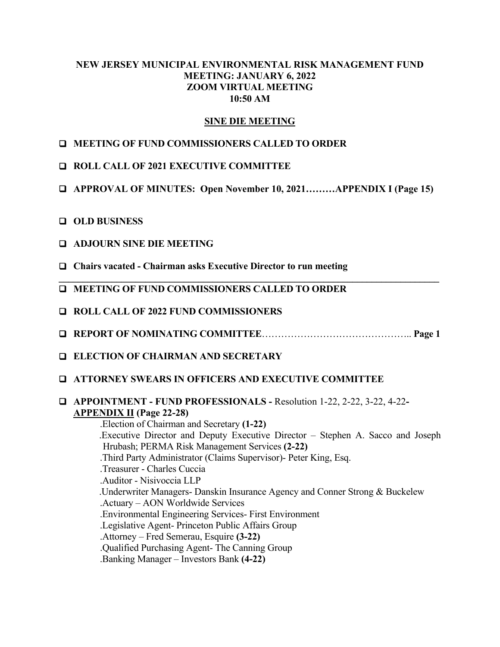# **NEW JERSEY MUNICIPAL ENVIRONMENTAL RISK MANAGEMENT FUND MEETING: JANUARY 6, 2022 ZOOM VIRTUAL MEETING 10:50 AM**

# **SINE DIE MEETING**

# **MEETING OF FUND COMMISSIONERS CALLED TO ORDER**

- **ROLL CALL OF 2021 EXECUTIVE COMMITTEE**
- **APPROVAL OF MINUTES: Open November 10, 2021………APPENDIX I (Page 15)**
- **OLD BUSINESS**
- **ADJOURN SINE DIE MEETING**
- **Chairs vacated Chairman asks Executive Director to run meeting**
- **MEETING OF FUND COMMISSIONERS CALLED TO ORDER**
- **ROLL CALL OF 2022 FUND COMMISSIONERS**
- **REPORT OF NOMINATING COMMITTEE**……………………………………….. **Page 1**

**\_\_\_\_\_\_\_\_\_\_\_\_\_\_\_\_\_\_\_\_\_\_\_\_\_\_\_\_\_\_\_\_\_\_\_\_\_\_\_\_\_\_\_\_\_\_\_\_\_\_\_\_\_\_\_\_\_\_\_\_\_\_\_\_\_\_\_\_\_\_\_\_\_\_\_\_\_\_\_** 

- **ELECTION OF CHAIRMAN AND SECRETARY**
- **ATTORNEY SWEARS IN OFFICERS AND EXECUTIVE COMMITTEE**
- **APPOINTMENT FUND PROFESSIONALS** Resolution 1-22, 2-22, 3-22, 4-22 **APPENDIX II (Page 22-28)**

 .Election of Chairman and Secretary **(1-22)** .Executive Director and Deputy Executive Director – Stephen A. Sacco and Joseph Hrubash; PERMA Risk Management Services **(2-22)** .Third Party Administrator (Claims Supervisor)- Peter King, Esq. .Treasurer - Charles Cuccia .Auditor - Nisivoccia LLP .Underwriter Managers- Danskin Insurance Agency and Conner Strong & Buckelew .Actuary – AON Worldwide Services .Environmental Engineering Services- First Environment .Legislative Agent- Princeton Public Affairs Group .Attorney – Fred Semerau, Esquire **(3-22)** .Qualified Purchasing Agent- The Canning Group .Banking Manager – Investors Bank **(4-22)**